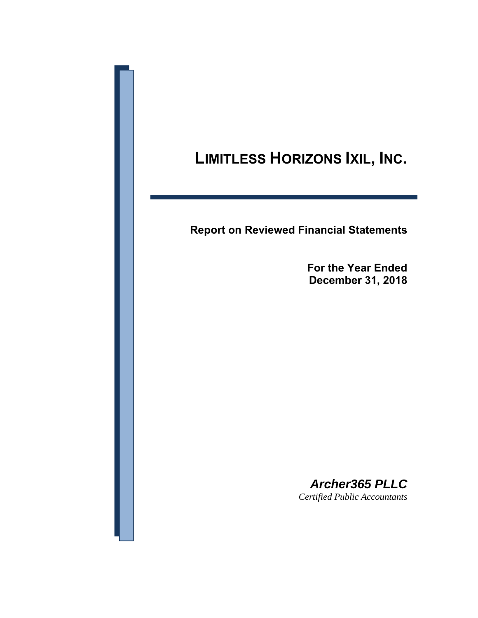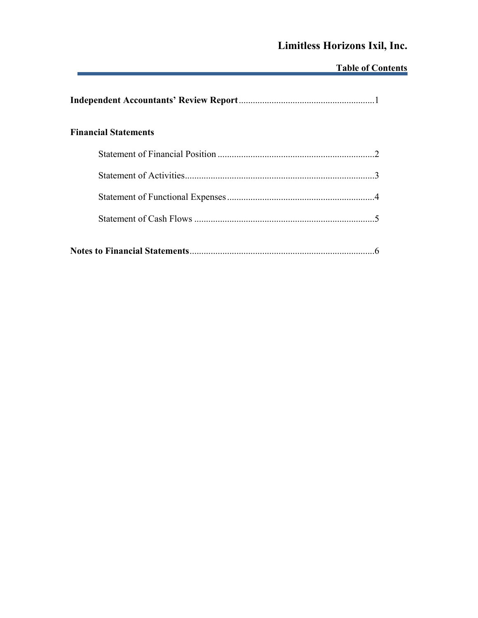# **Limitless Horizons Ixil, Inc.**

# **Table of Contents**

| <b>Financial Statements</b> |  |
|-----------------------------|--|
|                             |  |
|                             |  |
|                             |  |
|                             |  |
|                             |  |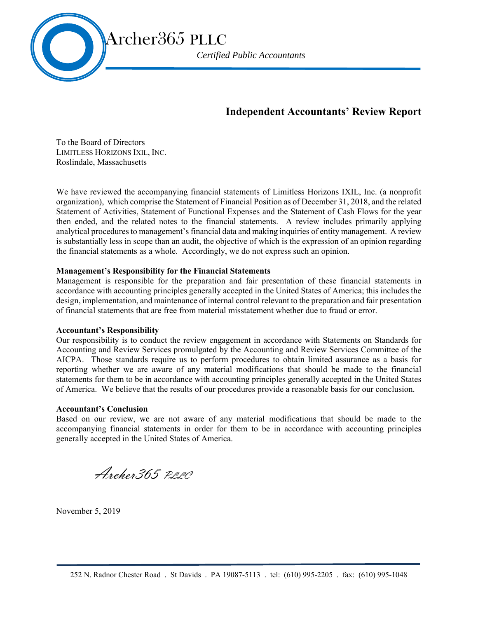

## **Independent Accountants' Review Report**

To the Board of Directors LIMITLESS HORIZONS IXIL, INC. Roslindale, Massachusetts

We have reviewed the accompanying financial statements of Limitless Horizons IXIL, Inc. (a nonprofit organization), which comprise the Statement of Financial Position as of December 31, 2018, and the related Statement of Activities, Statement of Functional Expenses and the Statement of Cash Flows for the year then ended, and the related notes to the financial statements. A review includes primarily applying analytical procedures to management's financial data and making inquiries of entity management. A review is substantially less in scope than an audit, the objective of which is the expression of an opinion regarding the financial statements as a whole. Accordingly, we do not express such an opinion.

#### **Management's Responsibility for the Financial Statements**

Management is responsible for the preparation and fair presentation of these financial statements in accordance with accounting principles generally accepted in the United States of America; this includes the design, implementation, and maintenance of internal control relevant to the preparation and fair presentation of financial statements that are free from material misstatement whether due to fraud or error.

#### **Accountant's Responsibility**

Our responsibility is to conduct the review engagement in accordance with Statements on Standards for Accounting and Review Services promulgated by the Accounting and Review Services Committee of the AICPA. Those standards require us to perform procedures to obtain limited assurance as a basis for reporting whether we are aware of any material modifications that should be made to the financial statements for them to be in accordance with accounting principles generally accepted in the United States of America. We believe that the results of our procedures provide a reasonable basis for our conclusion.

#### **Accountant's Conclusion**

Based on our review, we are not aware of any material modifications that should be made to the accompanying financial statements in order for them to be in accordance with accounting principles generally accepted in the United States of America.

Archer 365 PRPC

November 5, 2019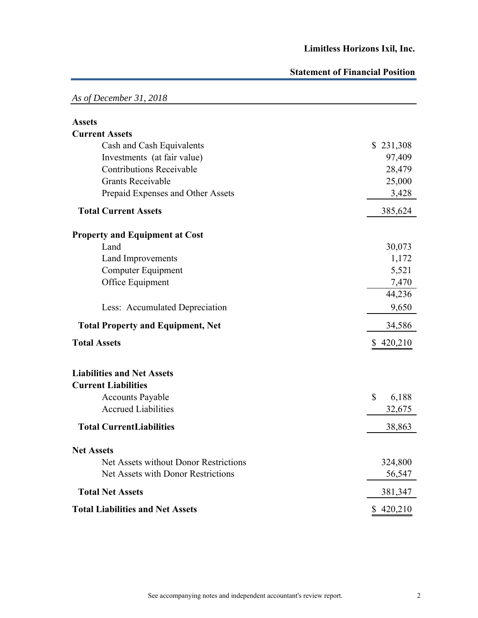## **Statement of Financial Position**

| As of December 31, 2018                  |             |
|------------------------------------------|-------------|
| <b>Assets</b>                            |             |
| <b>Current Assets</b>                    |             |
| Cash and Cash Equivalents                | \$231,308   |
| Investments (at fair value)              | 97,409      |
| <b>Contributions Receivable</b>          | 28,479      |
| <b>Grants Receivable</b>                 | 25,000      |
| Prepaid Expenses and Other Assets        | 3,428       |
| <b>Total Current Assets</b>              | 385,624     |
| <b>Property and Equipment at Cost</b>    |             |
| Land                                     | 30,073      |
| Land Improvements                        | 1,172       |
| <b>Computer Equipment</b>                | 5,521       |
| Office Equipment                         | 7,470       |
|                                          | 44,236      |
| Less: Accumulated Depreciation           | 9,650       |
| <b>Total Property and Equipment, Net</b> | 34,586      |
| <b>Total Assets</b>                      | \$420,210   |
| <b>Liabilities and Net Assets</b>        |             |
| <b>Current Liabilities</b>               |             |
| <b>Accounts Payable</b>                  | \$<br>6,188 |
| <b>Accrued Liabilities</b>               | 32,675      |
| <b>Total CurrentLiabilities</b>          | 38,863      |
| <b>Net Assets</b>                        |             |
| Net Assets without Donor Restrictions    | 324,800     |
| Net Assets with Donor Restrictions       | 56,547      |
| <b>Total Net Assets</b>                  | 381,347     |
| <b>Total Liabilities and Net Assets</b>  | \$420,210   |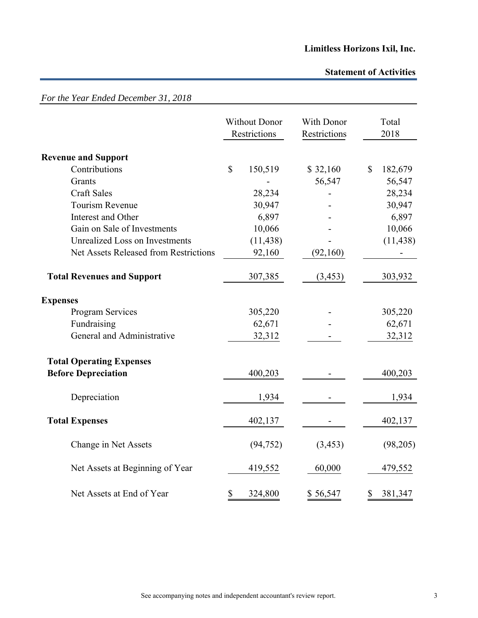## **Statement of Activities**

|                                       |              | <b>Without Donor</b><br>Restrictions | With Donor<br>Restrictions | Total<br>2018 |
|---------------------------------------|--------------|--------------------------------------|----------------------------|---------------|
| <b>Revenue and Support</b>            |              |                                      |                            |               |
| Contributions                         | $\mathbb{S}$ | 150,519                              | \$32,160                   | \$<br>182,679 |
| Grants                                |              |                                      | 56,547                     | 56,547        |
| <b>Craft Sales</b>                    |              | 28,234                               |                            | 28,234        |
| Tourism Revenue                       |              | 30,947                               |                            | 30,947        |
| Interest and Other                    |              | 6,897                                |                            | 6,897         |
| Gain on Sale of Investments           |              | 10,066                               |                            | 10,066        |
| Unrealized Loss on Investments        |              | (11, 438)                            |                            | (11, 438)     |
| Net Assets Released from Restrictions |              | 92,160                               | (92,160)                   |               |
| <b>Total Revenues and Support</b>     |              | 307,385                              | (3, 453)                   | 303,932       |
| <b>Expenses</b>                       |              |                                      |                            |               |
| Program Services                      |              | 305,220                              |                            | 305,220       |
| Fundraising                           |              | 62,671                               |                            | 62,671        |
| General and Administrative            |              | 32,312                               |                            | 32,312        |
| <b>Total Operating Expenses</b>       |              |                                      |                            |               |
| <b>Before Depreciation</b>            |              | 400,203                              |                            | 400,203       |
| Depreciation                          |              | 1,934                                |                            | 1,934         |
| <b>Total Expenses</b>                 |              | 402,137                              |                            | 402,137       |
| Change in Net Assets                  |              | (94, 752)                            | (3, 453)                   | (98,205)      |
| Net Assets at Beginning of Year       |              | 419,552                              | 60,000                     | 479,552       |
| Net Assets at End of Year             | \$           | 324,800                              | \$56,547                   | \$<br>381,347 |

*For the Year Ended December 31, 2018*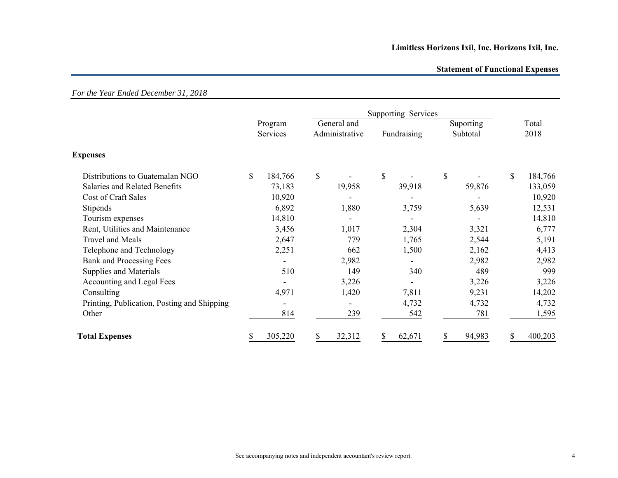## **Limitless Horizons Ixil, Inc. Horizons Ixil, Inc.**

#### **Statement of Functional Expenses**

|                                             | Supporting Services |                     |              |                               |                          |                       |               |
|---------------------------------------------|---------------------|---------------------|--------------|-------------------------------|--------------------------|-----------------------|---------------|
|                                             |                     | Program<br>Services |              | General and<br>Administrative | Fundraising              | Suporting<br>Subtotal | Total<br>2018 |
| <b>Expenses</b>                             |                     |                     |              |                               |                          |                       |               |
| Distributions to Guatemalan NGO             | S                   | 184,766             | $\mathbb{S}$ |                               | \$                       | \$                    | \$<br>184,766 |
| Salaries and Related Benefits               |                     | 73,183              |              | 19,958                        | 39,918                   | 59,876                | 133,059       |
| Cost of Craft Sales                         |                     | 10,920              |              |                               |                          |                       | 10,920        |
| Stipends                                    |                     | 6,892               |              | 1,880                         | 3,759                    | 5,639                 | 12,531        |
| Tourism expenses                            |                     | 14,810              |              |                               |                          |                       | 14,810        |
| Rent, Utilities and Maintenance             |                     | 3,456               |              | 1,017                         | 2,304                    | 3,321                 | 6,777         |
| Travel and Meals                            |                     | 2,647               |              | 779                           | 1,765                    | 2,544                 | 5,191         |
| Telephone and Technology                    |                     | 2,251               |              | 662                           | 1,500                    | 2,162                 | 4,413         |
| <b>Bank and Processing Fees</b>             |                     |                     |              | 2,982                         |                          | 2,982                 | 2,982         |
| Supplies and Materials                      |                     | 510                 |              | 149                           | 340                      | 489                   | 999           |
| Accounting and Legal Fees                   |                     |                     |              | 3,226                         | $\overline{\phantom{a}}$ | 3,226                 | 3,226         |
| Consulting                                  |                     | 4,971               |              | 1,420                         | 7,811                    | 9,231                 | 14,202        |
| Printing, Publication, Posting and Shipping |                     |                     |              | $\overline{\phantom{a}}$      | 4,732                    | 4,732                 | 4,732         |
| Other                                       |                     | 814                 |              | 239                           | 542                      | 781                   | 1,595         |
| <b>Total Expenses</b>                       |                     | 305,220             | S            | 32,312                        | 62,671                   | 94,983                | 400,203       |

### *For the Year Ended December 31, 2018*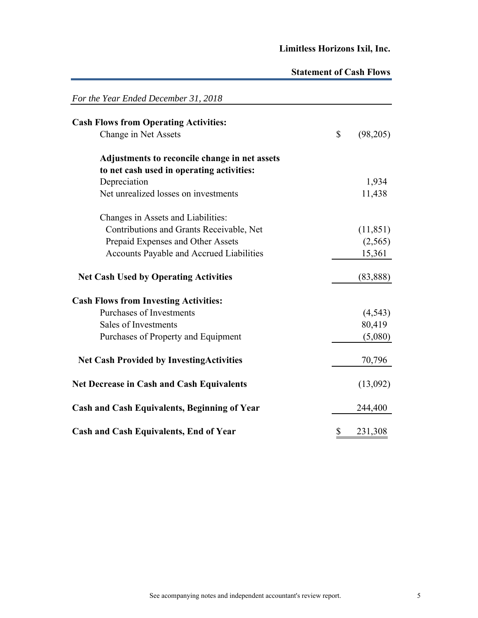## **Limitless Horizons Ixil, Inc.**

## **Statement of Cash Flows**

| For the Year Ended December 31, 2018                |                |
|-----------------------------------------------------|----------------|
| <b>Cash Flows from Operating Activities:</b>        |                |
| Change in Net Assets                                | \$<br>(98,205) |
| Adjustments to reconcile change in net assets       |                |
| to net cash used in operating activities:           |                |
| Depreciation                                        | 1,934          |
| Net unrealized losses on investments                | 11,438         |
| Changes in Assets and Liabilities:                  |                |
| Contributions and Grants Receivable, Net            | (11, 851)      |
| Prepaid Expenses and Other Assets                   | (2,565)        |
| Accounts Payable and Accrued Liabilities            | 15,361         |
| <b>Net Cash Used by Operating Activities</b>        | (83, 888)      |
| <b>Cash Flows from Investing Activities:</b>        |                |
| <b>Purchases of Investments</b>                     | (4, 543)       |
| Sales of Investments                                | 80,419         |
| Purchases of Property and Equipment                 | (5,080)        |
| <b>Net Cash Provided by Investing Activities</b>    | 70,796         |
| <b>Net Decrease in Cash and Cash Equivalents</b>    | (13,092)       |
| <b>Cash and Cash Equivalents, Beginning of Year</b> | 244,400        |
| <b>Cash and Cash Equivalents, End of Year</b>       | \$<br>231,308  |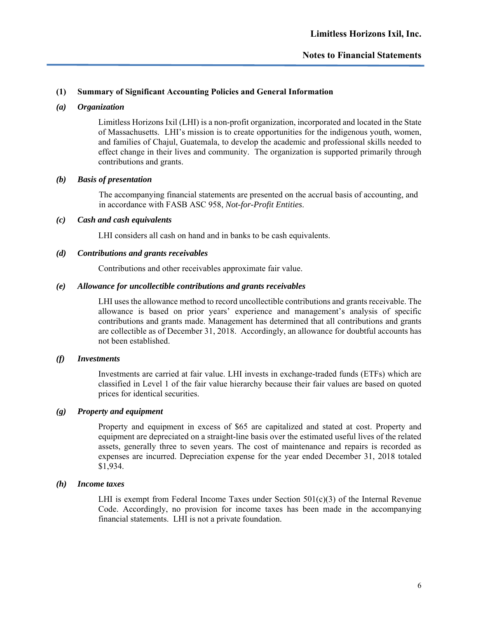#### **Notes to Financial Statements**

#### **(1) Summary of Significant Accounting Policies and General Information**

#### *(a) Organization*

Limitless Horizons Ixil (LHI) is a non-profit organization, incorporated and located in the State of Massachusetts. LHI's mission is to create opportunities for the indigenous youth, women, and families of Chajul, Guatemala, to develop the academic and professional skills needed to effect change in their lives and community. The organization is supported primarily through contributions and grants.

#### *(b) Basis of presentation*

The accompanying financial statements are presented on the accrual basis of accounting, and in accordance with FASB ASC 958, *Not-for-Profit Entities*.

#### *(c) Cash and cash equivalents*

LHI considers all cash on hand and in banks to be cash equivalents.

#### *(d) Contributions and grants receivables*

Contributions and other receivables approximate fair value.

#### *(e) Allowance for uncollectible contributions and grants receivables*

LHI uses the allowance method to record uncollectible contributions and grants receivable. The allowance is based on prior years' experience and management's analysis of specific contributions and grants made. Management has determined that all contributions and grants are collectible as of December 31, 2018. Accordingly, an allowance for doubtful accounts has not been established.

#### *(f) Investments*

Investments are carried at fair value. LHI invests in exchange-traded funds (ETFs) which are classified in Level 1 of the fair value hierarchy because their fair values are based on quoted prices for identical securities.

#### *(g) Property and equipment*

Property and equipment in excess of \$65 are capitalized and stated at cost. Property and equipment are depreciated on a straight-line basis over the estimated useful lives of the related assets, generally three to seven years. The cost of maintenance and repairs is recorded as expenses are incurred. Depreciation expense for the year ended December 31, 2018 totaled \$1,934.

#### *(h) Income taxes*

LHI is exempt from Federal Income Taxes under Section  $501(c)(3)$  of the Internal Revenue Code. Accordingly, no provision for income taxes has been made in the accompanying financial statements. LHI is not a private foundation.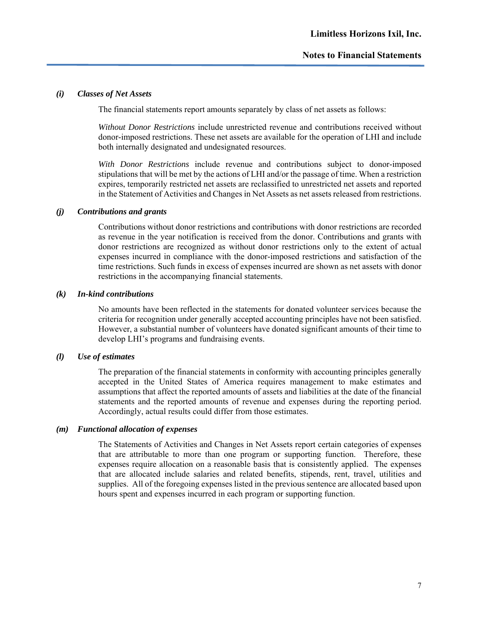#### *(i) Classes of Net Assets*

The financial statements report amounts separately by class of net assets as follows:

*Without Donor Restrictions* include unrestricted revenue and contributions received without donor-imposed restrictions. These net assets are available for the operation of LHI and include both internally designated and undesignated resources.

*With Donor Restrictions* include revenue and contributions subject to donor-imposed stipulations that will be met by the actions of LHI and/or the passage of time. When a restriction expires, temporarily restricted net assets are reclassified to unrestricted net assets and reported in the Statement of Activities and Changes in Net Assets as net assets released from restrictions.

#### *(j) Contributions and grants*

Contributions without donor restrictions and contributions with donor restrictions are recorded as revenue in the year notification is received from the donor. Contributions and grants with donor restrictions are recognized as without donor restrictions only to the extent of actual expenses incurred in compliance with the donor-imposed restrictions and satisfaction of the time restrictions. Such funds in excess of expenses incurred are shown as net assets with donor restrictions in the accompanying financial statements.

#### *(k) In-kind contributions*

No amounts have been reflected in the statements for donated volunteer services because the criteria for recognition under generally accepted accounting principles have not been satisfied. However, a substantial number of volunteers have donated significant amounts of their time to develop LHI's programs and fundraising events.

#### *(l) Use of estimates*

The preparation of the financial statements in conformity with accounting principles generally accepted in the United States of America requires management to make estimates and assumptions that affect the reported amounts of assets and liabilities at the date of the financial statements and the reported amounts of revenue and expenses during the reporting period. Accordingly, actual results could differ from those estimates.

#### *(m) Functional allocation of expenses*

The Statements of Activities and Changes in Net Assets report certain categories of expenses that are attributable to more than one program or supporting function. Therefore, these expenses require allocation on a reasonable basis that is consistently applied. The expenses that are allocated include salaries and related benefits, stipends, rent, travel, utilities and supplies. All of the foregoing expenses listed in the previous sentence are allocated based upon hours spent and expenses incurred in each program or supporting function.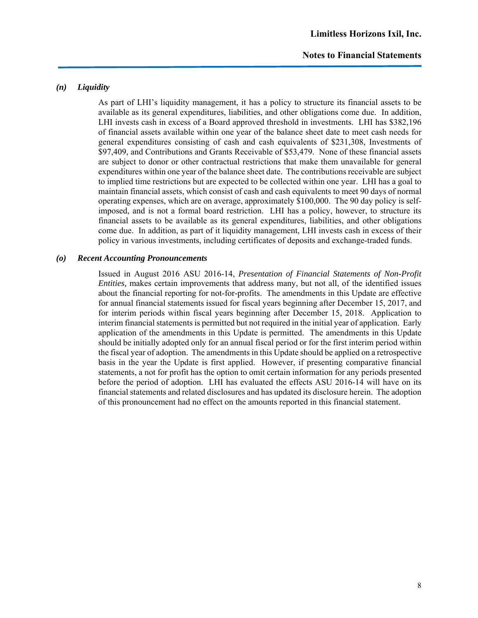#### **Notes to Financial Statements**

#### *(n) Liquidity*

As part of LHI's liquidity management, it has a policy to structure its financial assets to be available as its general expenditures, liabilities, and other obligations come due. In addition, LHI invests cash in excess of a Board approved threshold in investments. LHI has \$382,196 of financial assets available within one year of the balance sheet date to meet cash needs for general expenditures consisting of cash and cash equivalents of \$231,308, Investments of \$97,409, and Contributions and Grants Receivable of \$53,479. None of these financial assets are subject to donor or other contractual restrictions that make them unavailable for general expenditures within one year of the balance sheet date. The contributions receivable are subject to implied time restrictions but are expected to be collected within one year. LHI has a goal to maintain financial assets, which consist of cash and cash equivalents to meet 90 days of normal operating expenses, which are on average, approximately \$100,000. The 90 day policy is selfimposed, and is not a formal board restriction. LHI has a policy, however, to structure its financial assets to be available as its general expenditures, liabilities, and other obligations come due. In addition, as part of it liquidity management, LHI invests cash in excess of their policy in various investments, including certificates of deposits and exchange-traded funds.

#### *(o) Recent Accounting Pronouncements*

Issued in August 2016 ASU 2016-14, *Presentation of Financial Statements of Non-Profit Entities,* makes certain improvements that address many, but not all, of the identified issues about the financial reporting for not-for-profits. The amendments in this Update are effective for annual financial statements issued for fiscal years beginning after December 15, 2017, and for interim periods within fiscal years beginning after December 15, 2018. Application to interim financial statements is permitted but not required in the initial year of application. Early application of the amendments in this Update is permitted. The amendments in this Update should be initially adopted only for an annual fiscal period or for the first interim period within the fiscal year of adoption. The amendments in this Update should be applied on a retrospective basis in the year the Update is first applied. However, if presenting comparative financial statements, a not for profit has the option to omit certain information for any periods presented before the period of adoption. LHI has evaluated the effects ASU 2016-14 will have on its financial statements and related disclosures and has updated its disclosure herein. The adoption of this pronouncement had no effect on the amounts reported in this financial statement.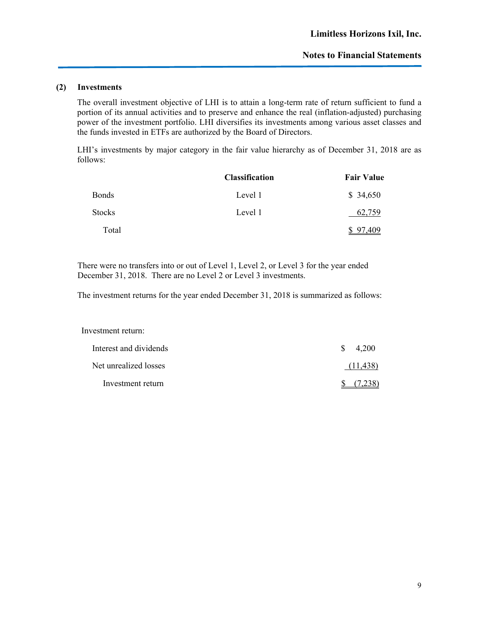#### **(2) Investments**

The overall investment objective of LHI is to attain a long-term rate of return sufficient to fund a portion of its annual activities and to preserve and enhance the real (inflation-adjusted) purchasing power of the investment portfolio. LHI diversifies its investments among various asset classes and the funds invested in ETFs are authorized by the Board of Directors.

LHI's investments by major category in the fair value hierarchy as of December 31, 2018 are as follows:

|               | <b>Classification</b> | <b>Fair Value</b> |
|---------------|-----------------------|-------------------|
| <b>Bonds</b>  | Level 1               | \$34,650          |
| <b>Stocks</b> | Level 1               | 62.759            |
| Total         |                       | 97,409            |

There were no transfers into or out of Level 1, Level 2, or Level 3 for the year ended December 31, 2018. There are no Level 2 or Level 3 investments.

The investment returns for the year ended December 31, 2018 is summarized as follows:

| Investment return:     |             |
|------------------------|-------------|
| Interest and dividends | 4,200<br>S. |
| Net unrealized losses  | (11, 438)   |
| Investment return      |             |